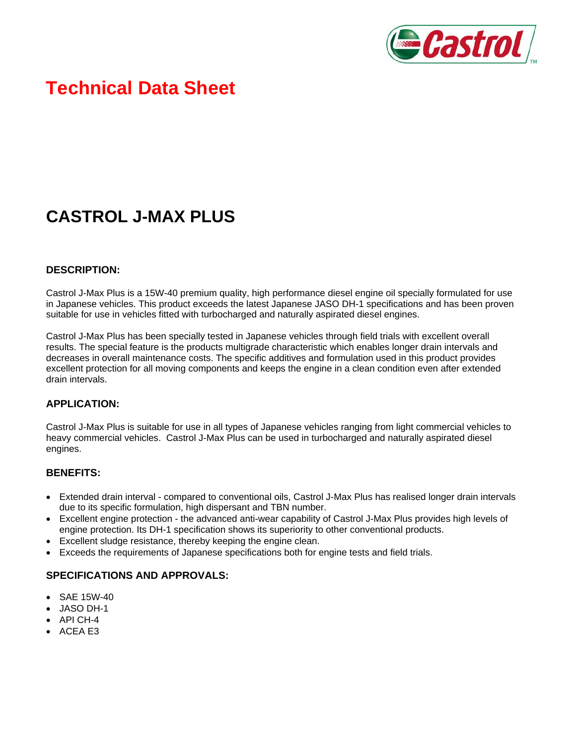

# **Technical Data Sheet**

# **CASTROL J-MAX PLUS**

#### **DESCRIPTION:**

Castrol J-Max Plus is a 15W-40 premium quality, high performance diesel engine oil specially formulated for use in Japanese vehicles. This product exceeds the latest Japanese JASO DH-1 specifications and has been proven suitable for use in vehicles fitted with turbocharged and naturally aspirated diesel engines.

Castrol J-Max Plus has been specially tested in Japanese vehicles through field trials with excellent overall results. The special feature is the products multigrade characteristic which enables longer drain intervals and decreases in overall maintenance costs. The specific additives and formulation used in this product provides excellent protection for all moving components and keeps the engine in a clean condition even after extended drain intervals.

### **APPLICATION:**

Castrol J-Max Plus is suitable for use in all types of Japanese vehicles ranging from light commercial vehicles to heavy commercial vehicles. Castrol J-Max Plus can be used in turbocharged and naturally aspirated diesel engines.

#### **BENEFITS:**

- Extended drain interval compared to conventional oils, Castrol J-Max Plus has realised longer drain intervals due to its specific formulation, high dispersant and TBN number.
- Excellent engine protection the advanced anti-wear capability of Castrol J-Max Plus provides high levels of engine protection. Its DH-1 specification shows its superiority to other conventional products.
- Excellent sludge resistance, thereby keeping the engine clean.
- Exceeds the requirements of Japanese specifications both for engine tests and field trials.

#### **SPECIFICATIONS AND APPROVALS:**

- SAE 15W-40
- JASO DH-1
- API CH-4
- ACEA E3